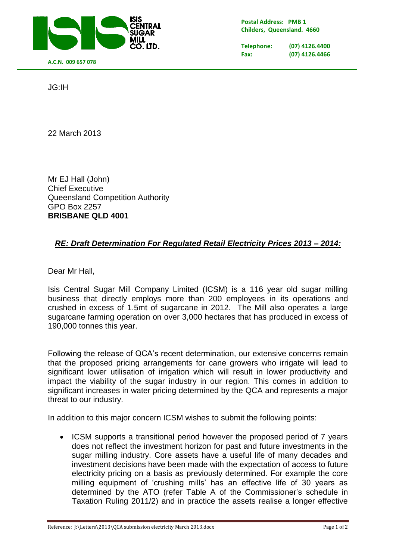

**Postal Address: PMB 1 Childers, Queensland. 4660**

**Telephone: (07) 4126.4400 Fax: (07) 4126.4466**

JG:IH

22 March 2013

Mr EJ Hall (John) Chief Executive Queensland Competition Authority GPO Box 2257 **BRISBANE QLD 4001**

## *RE: Draft Determination For Regulated Retail Electricity Prices 2013 – 2014:*

Dear Mr Hall,

Isis Central Sugar Mill Company Limited (ICSM) is a 116 year old sugar milling business that directly employs more than 200 employees in its operations and crushed in excess of 1.5mt of sugarcane in 2012. The Mill also operates a large sugarcane farming operation on over 3,000 hectares that has produced in excess of 190,000 tonnes this year.

Following the release of QCA's recent determination, our extensive concerns remain that the proposed pricing arrangements for cane growers who irrigate will lead to significant lower utilisation of irrigation which will result in lower productivity and impact the viability of the sugar industry in our region. This comes in addition to significant increases in water pricing determined by the QCA and represents a major threat to our industry.

In addition to this major concern ICSM wishes to submit the following points:

• ICSM supports a transitional period however the proposed period of 7 years does not reflect the investment horizon for past and future investments in the sugar milling industry. Core assets have a useful life of many decades and investment decisions have been made with the expectation of access to future electricity pricing on a basis as previously determined. For example the core milling equipment of 'crushing mills' has an effective life of 30 years as determined by the ATO (refer Table A of the Commissioner's schedule in Taxation Ruling 2011/2) and in practice the assets realise a longer effective